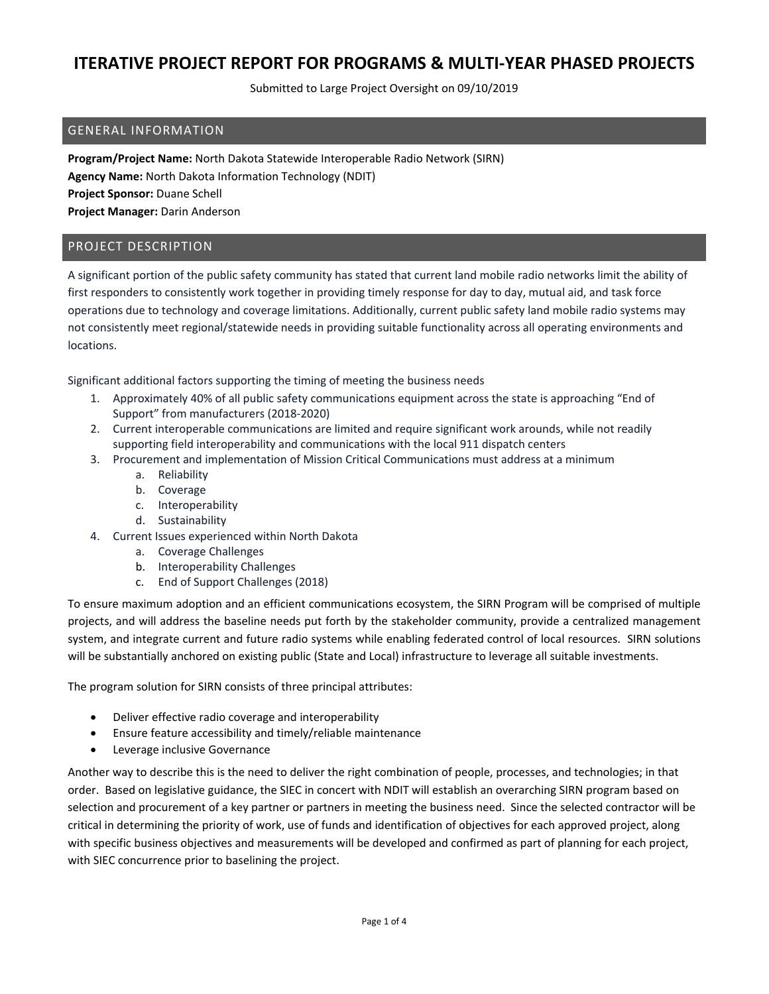Submitted to Large Project Oversight on 09/10/2019

### GENERAL INFORMATION

**Program/Project Name:** North Dakota Statewide Interoperable Radio Network (SIRN) **Agency Name:** North Dakota Information Technology (NDIT) **Project Sponsor:** Duane Schell **Project Manager:** Darin Anderson

#### PROJECT DESCRIPTION

A significant portion of the public safety community has stated that current land mobile radio networks limit the ability of first responders to consistently work together in providing timely response for day to day, mutual aid, and task force operations due to technology and coverage limitations. Additionally, current public safety land mobile radio systems may not consistently meet regional/statewide needs in providing suitable functionality across all operating environments and locations.

Significant additional factors supporting the timing of meeting the business needs

- 1. Approximately 40% of all public safety communications equipment across the state is approaching "End of Support" from manufacturers (2018‐2020)
- 2. Current interoperable communications are limited and require significant work arounds, while not readily supporting field interoperability and communications with the local 911 dispatch centers
- 3. Procurement and implementation of Mission Critical Communications must address at a minimum
	- a. Reliability
	- b. Coverage
	- c. Interoperability
	- d. Sustainability
- 4. Current Issues experienced within North Dakota
	- a. Coverage Challenges
	- b. Interoperability Challenges
	- c. End of Support Challenges (2018)

To ensure maximum adoption and an efficient communications ecosystem, the SIRN Program will be comprised of multiple projects, and will address the baseline needs put forth by the stakeholder community, provide a centralized management system, and integrate current and future radio systems while enabling federated control of local resources. SIRN solutions will be substantially anchored on existing public (State and Local) infrastructure to leverage all suitable investments.

The program solution for SIRN consists of three principal attributes:

- Deliver effective radio coverage and interoperability
- Ensure feature accessibility and timely/reliable maintenance
- **•** Leverage inclusive Governance

Another way to describe this is the need to deliver the right combination of people, processes, and technologies; in that order. Based on legislative guidance, the SIEC in concert with NDIT will establish an overarching SIRN program based on selection and procurement of a key partner or partners in meeting the business need. Since the selected contractor will be critical in determining the priority of work, use of funds and identification of objectives for each approved project, along with specific business objectives and measurements will be developed and confirmed as part of planning for each project, with SIEC concurrence prior to baselining the project.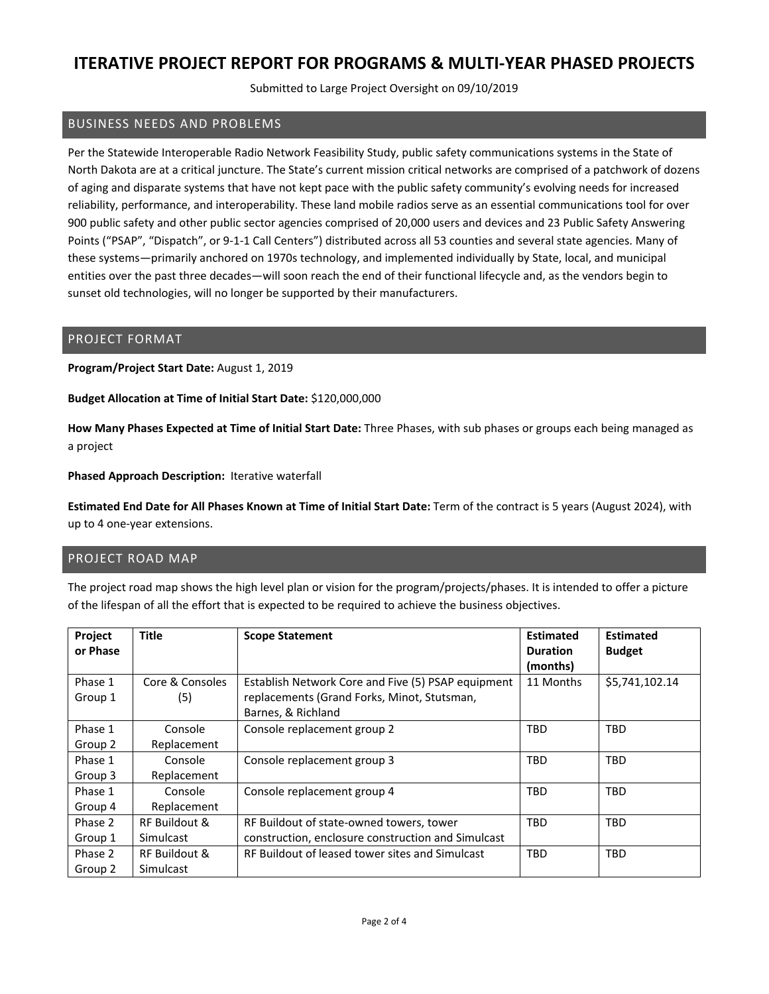Submitted to Large Project Oversight on 09/10/2019

### BUSINESS NEEDS AND PROBLEMS

Per the Statewide Interoperable Radio Network Feasibility Study, public safety communications systems in the State of North Dakota are at a critical juncture. The State's current mission critical networks are comprised of a patchwork of dozens of aging and disparate systems that have not kept pace with the public safety community's evolving needs for increased reliability, performance, and interoperability. These land mobile radios serve as an essential communications tool for over 900 public safety and other public sector agencies comprised of 20,000 users and devices and 23 Public Safety Answering Points ("PSAP", "Dispatch", or 9‐1‐1 Call Centers") distributed across all 53 counties and several state agencies. Many of these systems—primarily anchored on 1970s technology, and implemented individually by State, local, and municipal entities over the past three decades—will soon reach the end of their functional lifecycle and, as the vendors begin to sunset old technologies, will no longer be supported by their manufacturers.

#### PROJECT FORMAT

**Program/Project Start Date:** August 1, 2019

**Budget Allocation at Time of Initial Start Date:** \$120,000,000

**How Many Phases Expected at Time of Initial Start Date:** Three Phases, with sub phases or groups each being managed as a project

**Phased Approach Description:** Iterative waterfall

**Estimated End Date for All Phases Known at Time of Initial Start Date:** Term of the contract is 5 years (August 2024), with up to 4 one‐year extensions.

#### PROJECT ROAD MAP

The project road map shows the high level plan or vision for the program/projects/phases. It is intended to offer a picture of the lifespan of all the effort that is expected to be required to achieve the business objectives.

| Project  | <b>Title</b>    | <b>Scope Statement</b>                             | <b>Estimated</b> | <b>Estimated</b> |
|----------|-----------------|----------------------------------------------------|------------------|------------------|
| or Phase |                 |                                                    | <b>Duration</b>  | <b>Budget</b>    |
|          |                 |                                                    | (months)         |                  |
| Phase 1  | Core & Consoles | Establish Network Core and Five (5) PSAP equipment | 11 Months        | \$5,741,102.14   |
| Group 1  | (5)             | replacements (Grand Forks, Minot, Stutsman,        |                  |                  |
|          |                 | Barnes, & Richland                                 |                  |                  |
| Phase 1  | Console         | Console replacement group 2                        | <b>TBD</b>       | <b>TBD</b>       |
| Group 2  | Replacement     |                                                    |                  |                  |
| Phase 1  | Console         | Console replacement group 3                        | <b>TBD</b>       | TBD              |
| Group 3  | Replacement     |                                                    |                  |                  |
| Phase 1  | Console         | Console replacement group 4                        | TBD              | <b>TBD</b>       |
| Group 4  | Replacement     |                                                    |                  |                  |
| Phase 2  | RF Buildout &   | RF Buildout of state-owned towers, tower           | TBD              | <b>TBD</b>       |
| Group 1  | Simulcast       | construction, enclosure construction and Simulcast |                  |                  |
| Phase 2  | RF Buildout &   | RF Buildout of leased tower sites and Simulcast    | <b>TBD</b>       | <b>TBD</b>       |
| Group 2  | Simulcast       |                                                    |                  |                  |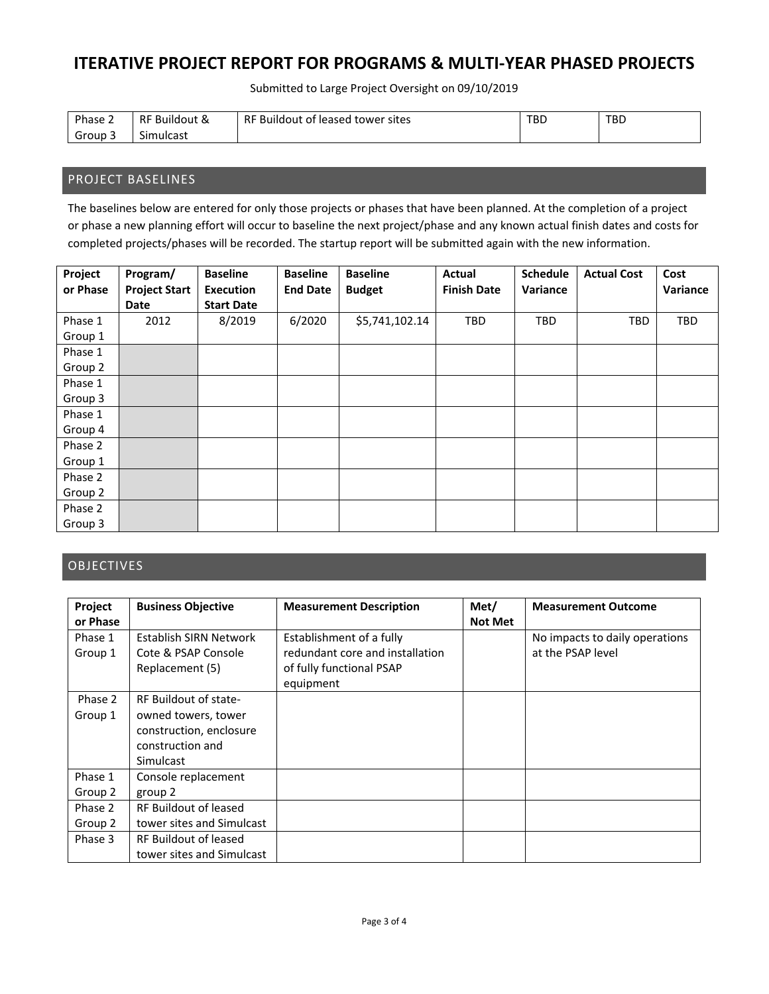Submitted to Large Project Oversight on 09/10/2019

| Phase $\sim$       | RF B<br><b>Buildout &amp;</b> | RF Buildout of leased<br>l tower sites | TBD. | <b>TBD</b> |
|--------------------|-------------------------------|----------------------------------------|------|------------|
| <del>ة</del> Group | $\sim$<br>Simulcast           |                                        |      |            |

#### PROJECT BASELINES

The baselines below are entered for only those projects or phases that have been planned. At the completion of a project or phase a new planning effort will occur to baseline the next project/phase and any known actual finish dates and costs for completed projects/phases will be recorded. The startup report will be submitted again with the new information.

| Project  | Program/             | <b>Baseline</b>   | <b>Baseline</b> | <b>Baseline</b> | Actual             | <b>Schedule</b> | <b>Actual Cost</b> | Cost     |
|----------|----------------------|-------------------|-----------------|-----------------|--------------------|-----------------|--------------------|----------|
| or Phase | <b>Project Start</b> | <b>Execution</b>  | <b>End Date</b> | <b>Budget</b>   | <b>Finish Date</b> | Variance        |                    | Variance |
|          | <b>Date</b>          | <b>Start Date</b> |                 |                 |                    |                 |                    |          |
| Phase 1  | 2012                 | 8/2019            | 6/2020          | \$5,741,102.14  | <b>TBD</b>         | <b>TBD</b>      | <b>TBD</b>         | TBD      |
| Group 1  |                      |                   |                 |                 |                    |                 |                    |          |
| Phase 1  |                      |                   |                 |                 |                    |                 |                    |          |
| Group 2  |                      |                   |                 |                 |                    |                 |                    |          |
| Phase 1  |                      |                   |                 |                 |                    |                 |                    |          |
| Group 3  |                      |                   |                 |                 |                    |                 |                    |          |
| Phase 1  |                      |                   |                 |                 |                    |                 |                    |          |
| Group 4  |                      |                   |                 |                 |                    |                 |                    |          |
| Phase 2  |                      |                   |                 |                 |                    |                 |                    |          |
| Group 1  |                      |                   |                 |                 |                    |                 |                    |          |
| Phase 2  |                      |                   |                 |                 |                    |                 |                    |          |
| Group 2  |                      |                   |                 |                 |                    |                 |                    |          |
| Phase 2  |                      |                   |                 |                 |                    |                 |                    |          |
| Group 3  |                      |                   |                 |                 |                    |                 |                    |          |

### **OBJECTIVES**

| Project            | <b>Business Objective</b>                                        | <b>Measurement Description</b>                                                                       | Met/           | <b>Measurement Outcome</b>                          |
|--------------------|------------------------------------------------------------------|------------------------------------------------------------------------------------------------------|----------------|-----------------------------------------------------|
| or Phase           |                                                                  |                                                                                                      | <b>Not Met</b> |                                                     |
| Phase 1<br>Group 1 | Establish SIRN Network<br>Cote & PSAP Console<br>Replacement (5) | Establishment of a fully<br>redundant core and installation<br>of fully functional PSAP<br>equipment |                | No impacts to daily operations<br>at the PSAP level |
| Phase 2            | RF Buildout of state-                                            |                                                                                                      |                |                                                     |
| Group 1            | owned towers, tower                                              |                                                                                                      |                |                                                     |
|                    | construction, enclosure                                          |                                                                                                      |                |                                                     |
|                    | construction and                                                 |                                                                                                      |                |                                                     |
|                    | <b>Simulcast</b>                                                 |                                                                                                      |                |                                                     |
| Phase 1            | Console replacement                                              |                                                                                                      |                |                                                     |
| Group 2            | group 2                                                          |                                                                                                      |                |                                                     |
| Phase 2            | RF Buildout of leased                                            |                                                                                                      |                |                                                     |
| Group 2            | tower sites and Simulcast                                        |                                                                                                      |                |                                                     |
| Phase 3            | RF Buildout of leased                                            |                                                                                                      |                |                                                     |
|                    | tower sites and Simulcast                                        |                                                                                                      |                |                                                     |